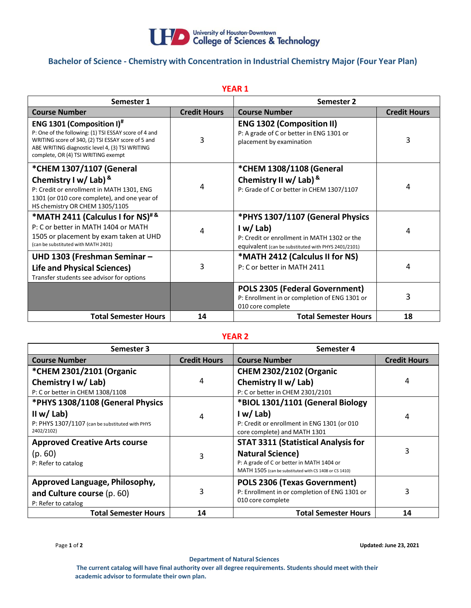

## **Bachelor of Science - Chemistry with Concentration in Industrial Chemistry Major (Four Year Plan)**

| <b>YEAR 1</b>                                                                                                                                                                                                                                         |                     |                                                                                                                                                   |                     |  |  |  |
|-------------------------------------------------------------------------------------------------------------------------------------------------------------------------------------------------------------------------------------------------------|---------------------|---------------------------------------------------------------------------------------------------------------------------------------------------|---------------------|--|--|--|
| Semester 1                                                                                                                                                                                                                                            |                     | Semester 2                                                                                                                                        |                     |  |  |  |
| <b>Course Number</b>                                                                                                                                                                                                                                  | <b>Credit Hours</b> | <b>Course Number</b>                                                                                                                              | <b>Credit Hours</b> |  |  |  |
| <b>ENG 1301 (Composition I)</b> <sup>#</sup><br>P: One of the following: (1) TSI ESSAY score of 4 and<br>WRITING score of 340, (2) TSI ESSAY score of 5 and<br>ABE WRITING diagnostic level 4, (3) TSI WRITING<br>complete, OR (4) TSI WRITING exempt | 3                   | <b>ENG 1302 (Composition II)</b><br>P: A grade of C or better in ENG 1301 or<br>placement by examination                                          | 3                   |  |  |  |
| *CHEM 1307/1107 (General<br>Chemistry I w/ Lab) $8$<br>P: Credit or enrollment in MATH 1301, ENG<br>1301 (or 010 core complete), and one year of<br>HS chemistry OR CHEM 1305/1105                                                                    | 4                   | *CHEM 1308/1108 (General<br>Chemistry II w/ Lab) &<br>P: Grade of C or better in CHEM 1307/1107                                                   | 4                   |  |  |  |
| *MATH 2411 (Calculus I for NS)#&<br>P: C or better in MATH 1404 or MATH<br>1505 or placement by exam taken at UHD<br>(can be substituted with MATH 2401)                                                                                              | 4                   | *PHYS 1307/1107 (General Physics<br>I w/Lab<br>P: Credit or enrollment in MATH 1302 or the<br>equivalent (can be substituted with PHYS 2401/2101) | 4                   |  |  |  |
| UHD 1303 (Freshman Seminar -<br><b>Life and Physical Sciences)</b><br>Transfer students see advisor for options                                                                                                                                       | 3                   | *MATH 2412 (Calculus II for NS)<br>P: C or better in MATH 2411                                                                                    | 4                   |  |  |  |
|                                                                                                                                                                                                                                                       |                     | <b>POLS 2305 (Federal Government)</b><br>P: Enrollment in or completion of ENG 1301 or<br>010 core complete                                       | 3                   |  |  |  |
| <b>Total Semester Hours</b>                                                                                                                                                                                                                           | 14                  | <b>Total Semester Hours</b>                                                                                                                       | 18                  |  |  |  |

## **YEAR 2**

| Semester 3                                      |                     | Semester 4                                             |                     |
|-------------------------------------------------|---------------------|--------------------------------------------------------|---------------------|
| <b>Course Number</b>                            | <b>Credit Hours</b> | <b>Course Number</b>                                   | <b>Credit Hours</b> |
| *CHEM 2301/2101 (Organic                        |                     | <b>CHEM 2302/2102 (Organic</b>                         |                     |
| Chemistry I w/ Lab)                             | 4                   | Chemistry II w/ Lab)                                   | 4                   |
| P: C or better in CHEM 1308/1108                |                     | P: C or better in CHEM 2301/2101                       |                     |
| *PHYS 1308/1108 (General Physics                |                     | *BIOL 1301/1101 (General Biology                       |                     |
| II w/ Lab)                                      | 4                   | I w/Lab                                                | 4                   |
| P: PHYS 1307/1107 (can be substituted with PHYS |                     | P: Credit or enrollment in ENG 1301 (or 010            |                     |
| 2402/2102)                                      |                     | core complete) and MATH 1301                           |                     |
| <b>Approved Creative Arts course</b>            |                     | <b>STAT 3311 (Statistical Analysis for</b>             |                     |
| (p.60)                                          | 3                   | <b>Natural Science)</b>                                | 3                   |
| P: Refer to catalog                             |                     | P: A grade of C or better in MATH 1404 or              |                     |
|                                                 |                     | MATH 1505 (can be substituted with CS 1408 or CS 1410) |                     |
| Approved Language, Philosophy,                  |                     | <b>POLS 2306 (Texas Government)</b>                    |                     |
| and Culture course (p. 60)                      | 3                   | P: Enrollment in or completion of ENG 1301 or          | 3                   |
| P: Refer to catalog                             |                     | 010 core complete                                      |                     |
| <b>Total Semester Hours</b>                     | 14                  | <b>Total Semester Hours</b>                            | 14                  |